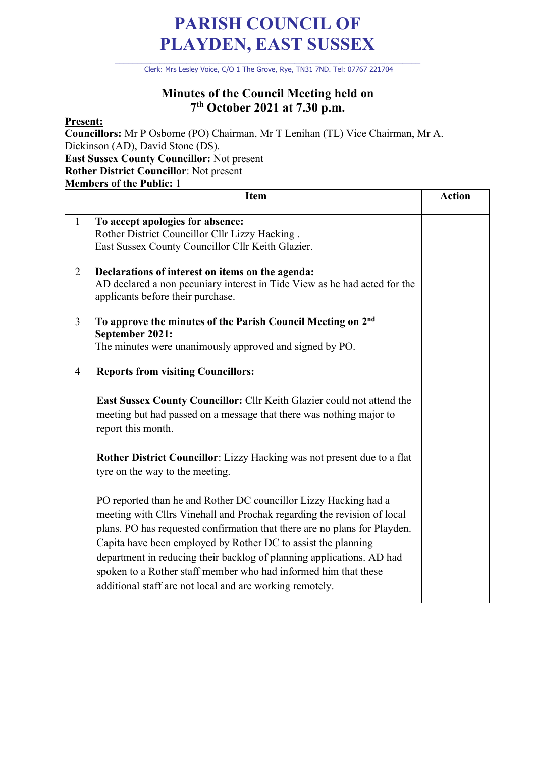## **PARISH COUNCIL OF PLAYDEN, EAST SUSSEX**

\_\_\_\_\_\_\_\_\_\_\_\_\_\_\_\_\_\_\_\_\_\_\_\_\_\_\_\_\_\_\_\_\_\_\_\_\_\_\_\_\_\_\_\_\_\_\_\_\_\_\_\_\_\_\_\_\_\_\_\_\_\_\_\_\_\_\_\_ Clerk: Mrs Lesley Voice, C/O 1 The Grove, Rye, TN31 7ND. Tel: 07767 221704

## **Minutes of the Council Meeting held on 7th October 2021 at 7.30 p.m.**

## **Present:**

**Councillors:** Mr P Osborne (PO) Chairman, Mr T Lenihan (TL) Vice Chairman, Mr A. Dickinson (AD), David Stone (DS). **East Sussex County Councillor:** Not present **Rother District Councillor**: Not present **Members of the Public:** 1

|                | <b>Item</b>                                                                                                                                                                                                                                                                                                                                                                                                                                                                                       | <b>Action</b> |
|----------------|---------------------------------------------------------------------------------------------------------------------------------------------------------------------------------------------------------------------------------------------------------------------------------------------------------------------------------------------------------------------------------------------------------------------------------------------------------------------------------------------------|---------------|
| $\mathbf{1}$   | To accept apologies for absence:<br>Rother District Councillor Cllr Lizzy Hacking.<br>East Sussex County Councillor Cllr Keith Glazier.                                                                                                                                                                                                                                                                                                                                                           |               |
| $\overline{2}$ | Declarations of interest on items on the agenda:<br>AD declared a non pecuniary interest in Tide View as he had acted for the<br>applicants before their purchase.                                                                                                                                                                                                                                                                                                                                |               |
| $\overline{3}$ | To approve the minutes of the Parish Council Meeting on 2nd<br>September 2021:<br>The minutes were unanimously approved and signed by PO.                                                                                                                                                                                                                                                                                                                                                         |               |
| $\overline{4}$ | <b>Reports from visiting Councillors:</b><br>East Sussex County Councillor: Cllr Keith Glazier could not attend the<br>meeting but had passed on a message that there was nothing major to<br>report this month.<br>Rother District Councillor: Lizzy Hacking was not present due to a flat<br>tyre on the way to the meeting.                                                                                                                                                                    |               |
|                | PO reported than he and Rother DC councillor Lizzy Hacking had a<br>meeting with Cllrs Vinehall and Prochak regarding the revision of local<br>plans. PO has requested confirmation that there are no plans for Playden.<br>Capita have been employed by Rother DC to assist the planning<br>department in reducing their backlog of planning applications. AD had<br>spoken to a Rother staff member who had informed him that these<br>additional staff are not local and are working remotely. |               |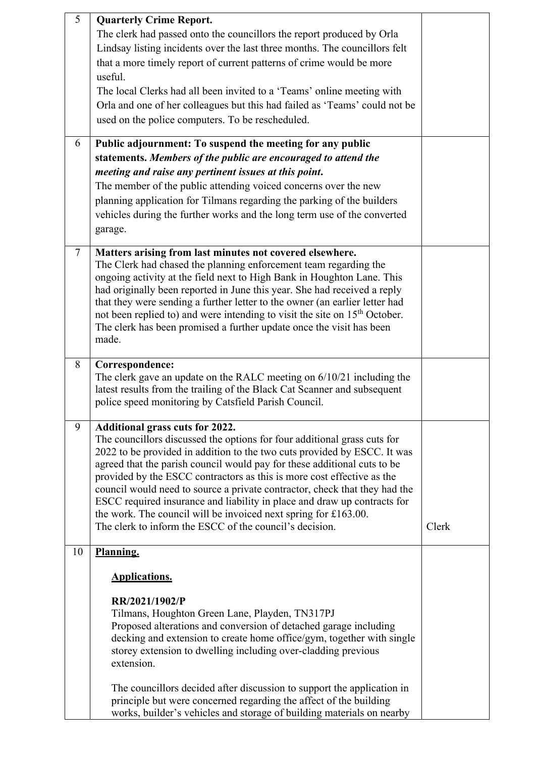| 5              | <b>Quarterly Crime Report.</b><br>The clerk had passed onto the councillors the report produced by Orla<br>Lindsay listing incidents over the last three months. The councillors felt<br>that a more timely report of current patterns of crime would be more<br>useful.<br>The local Clerks had all been invited to a 'Teams' online meeting with<br>Orla and one of her colleagues but this had failed as 'Teams' could not be<br>used on the police computers. To be rescheduled.                                                                                                                                                  |       |
|----------------|---------------------------------------------------------------------------------------------------------------------------------------------------------------------------------------------------------------------------------------------------------------------------------------------------------------------------------------------------------------------------------------------------------------------------------------------------------------------------------------------------------------------------------------------------------------------------------------------------------------------------------------|-------|
| 6              | Public adjournment: To suspend the meeting for any public<br>statements. Members of the public are encouraged to attend the<br>meeting and raise any pertinent issues at this point.<br>The member of the public attending voiced concerns over the new<br>planning application for Tilmans regarding the parking of the builders<br>vehicles during the further works and the long term use of the converted<br>garage.                                                                                                                                                                                                              |       |
| $\overline{7}$ | Matters arising from last minutes not covered elsewhere.<br>The Clerk had chased the planning enforcement team regarding the<br>ongoing activity at the field next to High Bank in Houghton Lane. This<br>had originally been reported in June this year. She had received a reply<br>that they were sending a further letter to the owner (an earlier letter had<br>not been replied to) and were intending to visit the site on 15 <sup>th</sup> October.<br>The clerk has been promised a further update once the visit has been<br>made.                                                                                          |       |
| 8              | Correspondence:<br>The clerk gave an update on the RALC meeting on $6/10/21$ including the<br>latest results from the trailing of the Black Cat Scanner and subsequent<br>police speed monitoring by Catsfield Parish Council.                                                                                                                                                                                                                                                                                                                                                                                                        |       |
| 9              | Additional grass cuts for 2022.<br>The councillors discussed the options for four additional grass cuts for<br>2022 to be provided in addition to the two cuts provided by ESCC. It was<br>agreed that the parish council would pay for these additional cuts to be<br>provided by the ESCC contractors as this is more cost effective as the<br>council would need to source a private contractor, check that they had the<br>ESCC required insurance and liability in place and draw up contracts for<br>the work. The council will be invoiced next spring for £163.00.<br>The clerk to inform the ESCC of the council's decision. | Clerk |
| 10             | Planning.                                                                                                                                                                                                                                                                                                                                                                                                                                                                                                                                                                                                                             |       |
|                | <b>Applications.</b><br>RR/2021/1902/P<br>Tilmans, Houghton Green Lane, Playden, TN317PJ<br>Proposed alterations and conversion of detached garage including<br>decking and extension to create home office/gym, together with single<br>storey extension to dwelling including over-cladding previous<br>extension.<br>The councillors decided after discussion to support the application in                                                                                                                                                                                                                                        |       |
|                | principle but were concerned regarding the affect of the building<br>works, builder's vehicles and storage of building materials on nearby                                                                                                                                                                                                                                                                                                                                                                                                                                                                                            |       |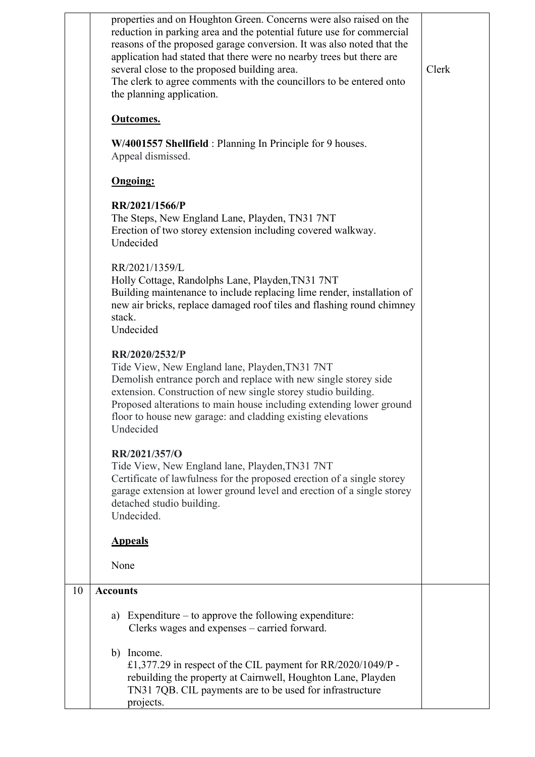|    | properties and on Houghton Green. Concerns were also raised on the<br>reduction in parking area and the potential future use for commercial<br>reasons of the proposed garage conversion. It was also noted that the<br>application had stated that there were no nearby trees but there are<br>several close to the proposed building area.<br>The clerk to agree comments with the councillors to be entered onto<br>the planning application.<br><b>Outcomes.</b><br>W/4001557 Shellfield: Planning In Principle for 9 houses.<br>Appeal dismissed.<br><b>Ongoing:</b><br>RR/2021/1566/P<br>The Steps, New England Lane, Playden, TN31 7NT<br>Erection of two storey extension including covered walkway.<br>Undecided<br>RR/2021/1359/L<br>Holly Cottage, Randolphs Lane, Playden, TN31 7NT<br>Building maintenance to include replacing lime render, installation of<br>new air bricks, replace damaged roof tiles and flashing round chimney<br>stack.<br>Undecided<br>RR/2020/2532/P<br>Tide View, New England lane, Playden, TN31 7NT<br>Demolish entrance porch and replace with new single storey side<br>extension. Construction of new single storey studio building.<br>Proposed alterations to main house including extending lower ground<br>floor to house new garage: and cladding existing elevations<br>Undecided<br>RR/2021/357/O<br>Tide View, New England lane, Playden, TN31 7NT<br>Certificate of lawfulness for the proposed erection of a single storey<br>garage extension at lower ground level and erection of a single storey<br>detached studio building.<br>Undecided.<br><b>Appeals</b><br>None | Clerk |
|----|----------------------------------------------------------------------------------------------------------------------------------------------------------------------------------------------------------------------------------------------------------------------------------------------------------------------------------------------------------------------------------------------------------------------------------------------------------------------------------------------------------------------------------------------------------------------------------------------------------------------------------------------------------------------------------------------------------------------------------------------------------------------------------------------------------------------------------------------------------------------------------------------------------------------------------------------------------------------------------------------------------------------------------------------------------------------------------------------------------------------------------------------------------------------------------------------------------------------------------------------------------------------------------------------------------------------------------------------------------------------------------------------------------------------------------------------------------------------------------------------------------------------------------------------------------------------------------------------------------------------------------|-------|
| 10 | <b>Accounts</b>                                                                                                                                                                                                                                                                                                                                                                                                                                                                                                                                                                                                                                                                                                                                                                                                                                                                                                                                                                                                                                                                                                                                                                                                                                                                                                                                                                                                                                                                                                                                                                                                                  |       |
|    |                                                                                                                                                                                                                                                                                                                                                                                                                                                                                                                                                                                                                                                                                                                                                                                                                                                                                                                                                                                                                                                                                                                                                                                                                                                                                                                                                                                                                                                                                                                                                                                                                                  |       |
|    | Expenditure $-$ to approve the following expenditure:<br>a)<br>Clerks wages and expenses – carried forward.                                                                                                                                                                                                                                                                                                                                                                                                                                                                                                                                                                                                                                                                                                                                                                                                                                                                                                                                                                                                                                                                                                                                                                                                                                                                                                                                                                                                                                                                                                                      |       |
|    | b) Income.<br>£1,377.29 in respect of the CIL payment for RR/2020/1049/P -<br>rebuilding the property at Cairnwell, Houghton Lane, Playden<br>TN31 7QB. CIL payments are to be used for infrastructure<br>projects.                                                                                                                                                                                                                                                                                                                                                                                                                                                                                                                                                                                                                                                                                                                                                                                                                                                                                                                                                                                                                                                                                                                                                                                                                                                                                                                                                                                                              |       |